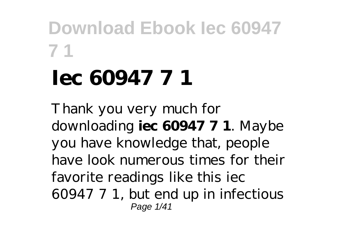# **Iec 60947 7 1**

Thank you very much for downloading **iec 60947 7 1**. Maybe you have knowledge that, people have look numerous times for their favorite readings like this iec 60947 7 1, but end up in infectious Page 1/41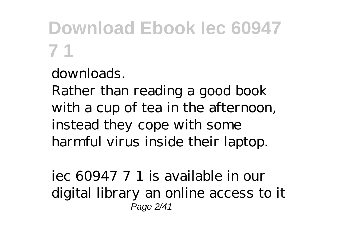downloads.

Rather than reading a good book with a cup of tea in the afternoon, instead they cope with some harmful virus inside their laptop.

iec 60947 7 1 is available in our digital library an online access to it Page 2/41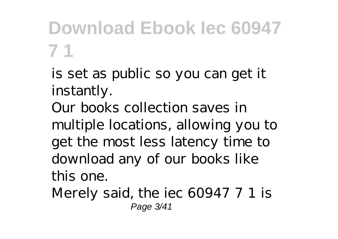is set as public so you can get it instantly.

Our books collection saves in multiple locations, allowing you to get the most less latency time to download any of our books like this one.

Merely said, the iec 60947 7 1 is Page 3/41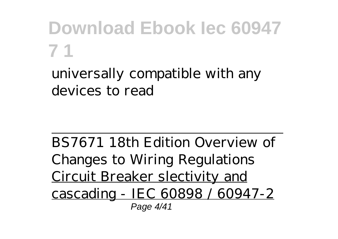universally compatible with any devices to read

BS7671 18th Edition Overview of Changes to Wiring Regulations Circuit Breaker slectivity and cascading - IEC 60898 / 60947-2 Page 4/41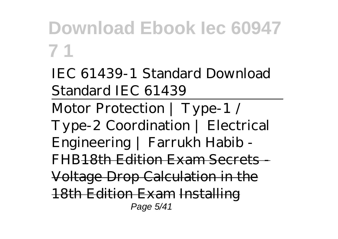*IEC 61439-1 Standard Download Standard IEC 61439*

Motor Protection | Type-1 / Type-2 Coordination | Electrical Engineering | Farrukh Habib - FHB<del>18th Edition Exam Secrets -</del> Voltage Drop Calculation in the 18th Edition Exam Installing Page 5/41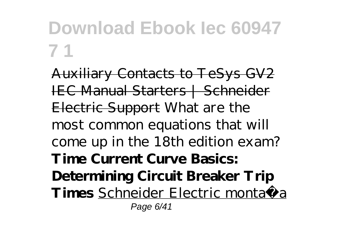Auxiliary Contacts to TeSys GV2 IEC Manual Starters | Schneider Electric Support *What are the most common equations that will come up in the 18th edition exam?* **Time Current Curve Basics: Determining Circuit Breaker Trip Times** Schneider Electric montaža Page 6/41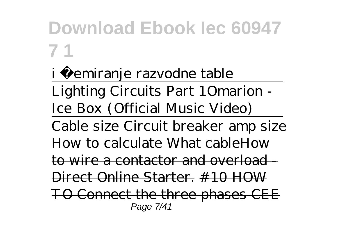#### <u>i šemiranje razvodne table</u>

Lighting Circuits Part 1*Omarion - Ice Box (Official Music Video)*

Cable size Circuit breaker amp size How to calculate What cable How to wire a contactor and overload - Direct Online Starter. #10 HOW TO Connect the three phases CEE Page 7/41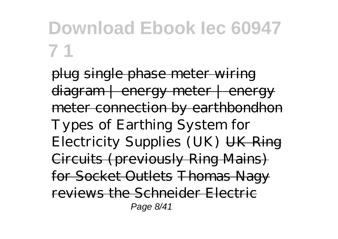plug single phase meter wiring diagram | energy meter | energy meter connection by earthbondhon *Types of Earthing System for Electricity Supplies (UK)* UK Ring Circuits (previously Ring Mains) for Socket Outlets Thomas Nagy reviews the Schneider Electric Page 8/41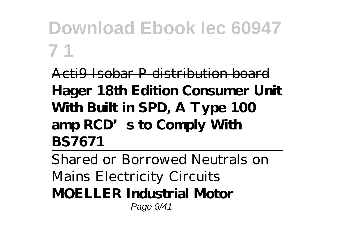Acti9 Isobar P distribution board **Hager 18th Edition Consumer Unit With Built in SPD, A Type 100 amp RCD's to Comply With BS7671**

Shared or Borrowed Neutrals on Mains Electricity Circuits **MOELLER Industrial Motor** Page 9/41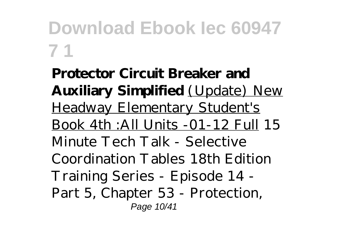**Protector Circuit Breaker and Auxiliary Simplified** (Update) New Headway Elementary Student's Book 4th :All Units -01-12 Full *15 Minute Tech Talk - Selective Coordination Tables 18th Edition Training Series - Episode 14 - Part 5, Chapter 53 - Protection,* Page 10/41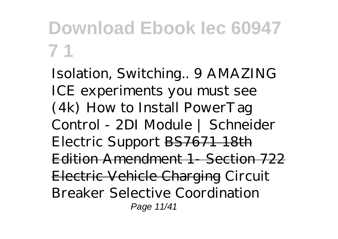*Isolation, Switching..* 9 AMAZING ICE experiments you must see (4k) *How to Install PowerTag Control - 2DI Module | Schneider Electric Support* BS7671 18th Edition Amendment 1- Section 722 Electric Vehicle Charging *Circuit Breaker Selective Coordination* Page 11/41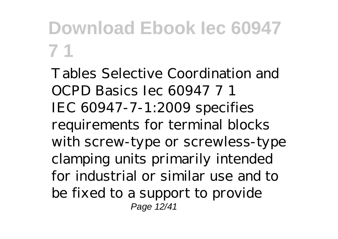*Tables Selective Coordination and OCPD Basics Iec 60947 7 1* IEC 60947-7-1:2009 specifies requirements for terminal blocks with screw-type or screwless-type clamping units primarily intended for industrial or similar use and to be fixed to a support to provide Page 12/41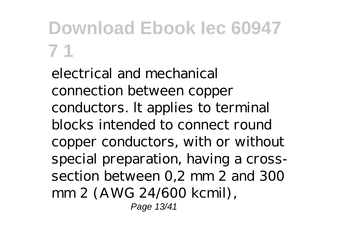electrical and mechanical connection between copper conductors. lt applies to terminal blocks intended to connect round copper conductors, with or without special preparation, having a crosssection between 0,2 mm 2 and 300 mm 2 (AWG 24/600 kcmil), Page 13/41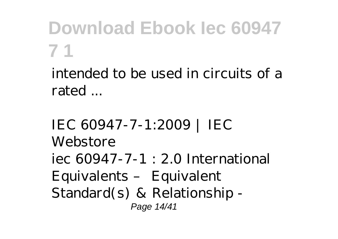intended to be used in circuits of a rated ...

*IEC 60947-7-1:2009 | IEC Webstore* iec 60947-7-1 : 2.0 International Equivalents – Equivalent Standard(s) & Relationship - Page 14/41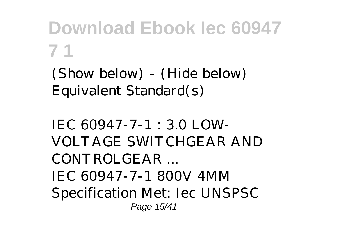(Show below) - (Hide below) Equivalent Standard(s)

*IEC 60947-7-1 : 3.0 LOW-VOLTAGE SWITCHGEAR AND CONTROLGEAR ...* IEC 60947-7-1 800V 4MM Specification Met: Iec UNSPSC Page 15/41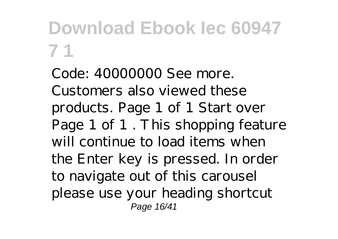Code: 40000000 See more. Customers also viewed these products. Page 1 of 1 Start over Page 1 of 1 . This shopping feature will continue to load items when the Enter key is pressed. In order to navigate out of this carousel please use your heading shortcut Page 16/41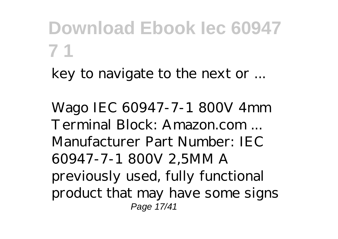key to navigate to the next or ...

*Wago IEC 60947-7-1 800V 4mm Terminal Block: Amazon.com ...* Manufacturer Part Number: IEC 60947-7-1 800V 2,5MM A previously used, fully functional product that may have some signs Page 17/41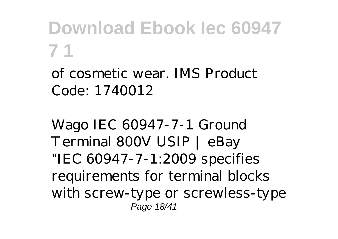of cosmetic wear. IMS Product Code: 1740012

*Wago IEC 60947-7-1 Ground Terminal 800V USIP | eBay* "IEC 60947-7-1:2009 specifies requirements for terminal blocks with screw-type or screwless-type Page 18/41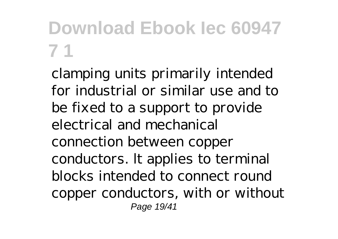clamping units primarily intended for industrial or similar use and to be fixed to a support to provide electrical and mechanical connection between copper conductors. lt applies to terminal blocks intended to connect round copper conductors, with or without Page 19/41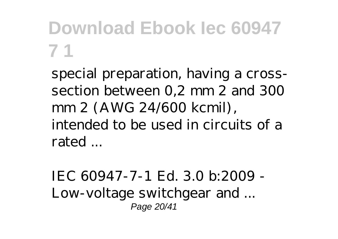special preparation, having a crosssection between 0,2 mm 2 and 300 mm 2 (AWG 24/600 kcmil), intended to be used in circuits of a rated ...

*IEC 60947-7-1 Ed. 3.0 b:2009 - Low-voltage switchgear and ...* Page 20/41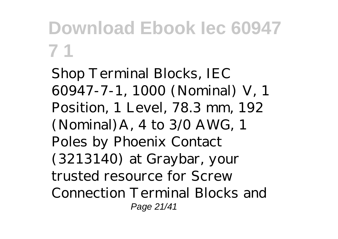Shop Terminal Blocks, IEC 60947-7-1, 1000 (Nominal) V, 1 Position, 1 Level, 78.3 mm, 192 (Nominal)A, 4 to 3/0 AWG, 1 Poles by Phoenix Contact (3213140) at Graybar, your trusted resource for Screw Connection Terminal Blocks and Page 21/41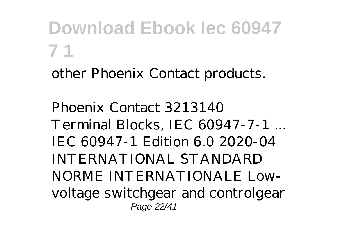other Phoenix Contact products.

*Phoenix Contact 3213140 Terminal Blocks, IEC 60947-7-1 ...* IEC 60947-1 Edition 6.0 2020-04 INTERNATIONAL STANDARD NORME INTERNATIONALE Lowvoltage switchgear and controlgear Page 22/41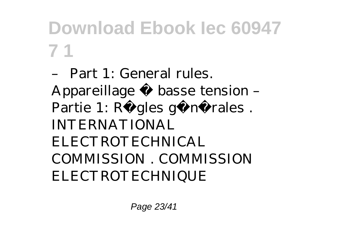– Part 1: General rules. Appareillage à basse tension – Partie 1: Règles générales. INTERNATIONAL ELECTROTECHNICAL COMMISSION . COMMISSION ELECTROTECHNIQUE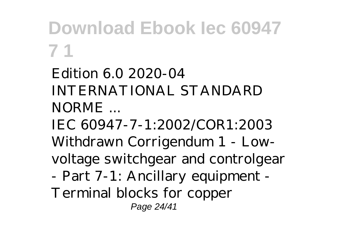*Edition 6.0 2020-04 INTERNATIONAL STANDARD NORME ...*

IEC 60947-7-1:2002/COR1:2003 Withdrawn Corrigendum 1 - Lowvoltage switchgear and controlgear - Part 7-1: Ancillary equipment -

Terminal blocks for copper Page 24/41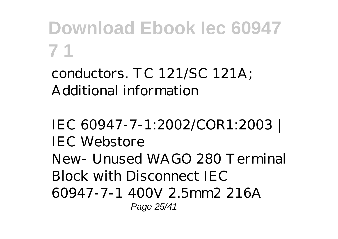conductors. TC 121/SC 121A; Additional information

*IEC 60947-7-1:2002/COR1:2003 | IEC Webstore* New- Unused WAGO 280 Terminal Block with Disconnect IEC 60947-7-1 400V 2.5mm2 216A Page 25/41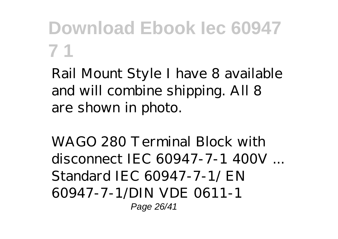Rail Mount Style I have 8 available and will combine shipping. All 8 are shown in photo.

*WAGO 280 Terminal Block with disconnect IEC 60947-7-1 400V ...* Standard IEC 60947-7-1/ EN 60947-7-1/DIN VDE 0611-1 Page 26/41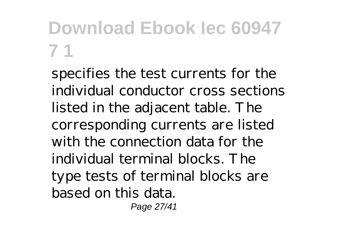specifies the test currents for the individual conductor cross sections listed in the adjacent table. The corresponding currents are listed with the connection data for the individual terminal blocks. The type tests of terminal blocks are based on this data.

Page 27/41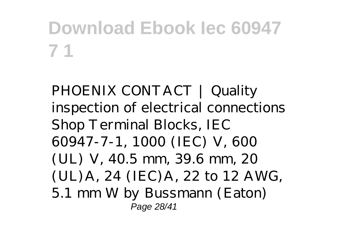*PHOENIX CONTACT | Quality inspection of electrical connections* Shop Terminal Blocks, IEC 60947-7-1, 1000 (IEC) V, 600 (UL) V, 40.5 mm, 39.6 mm, 20 (UL)A, 24 (IEC)A, 22 to 12 AWG, 5.1 mm W by Bussmann (Eaton) Page 28/41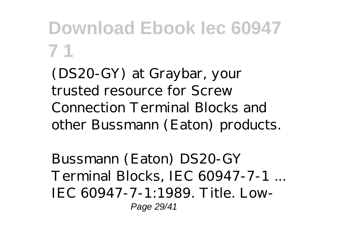(DS20-GY) at Graybar, your trusted resource for Screw Connection Terminal Blocks and other Bussmann (Eaton) products.

*Bussmann (Eaton) DS20-GY Terminal Blocks, IEC 60947-7-1 ...* IEC 60947-7-1:1989. Title. Low-Page 29/41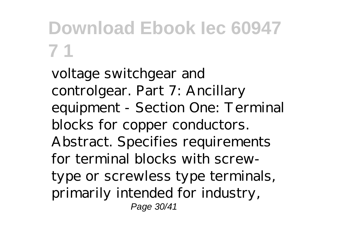voltage switchgear and controlgear. Part 7: Ancillary equipment - Section One: Terminal blocks for copper conductors. Abstract. Specifies requirements for terminal blocks with screwtype or screwless type terminals, primarily intended for industry, Page 30/41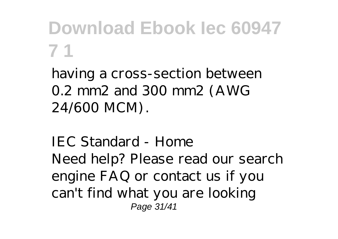having a cross-section between 0.2 mm2 and 300 mm2 (AWG 24/600 MCM).

*IEC Standard - Home* Need help? Please read our search engine FAQ or contact us if you can't find what you are looking Page 31/41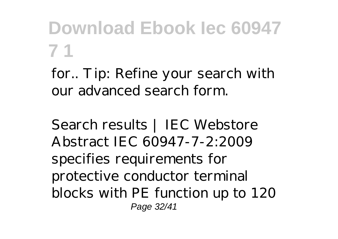for.. Tip: Refine your search with our advanced search form.

*Search results | IEC Webstore* Abstract IEC 60947-7-2:2009 specifies requirements for protective conductor terminal blocks with PE function up to 120 Page 32/41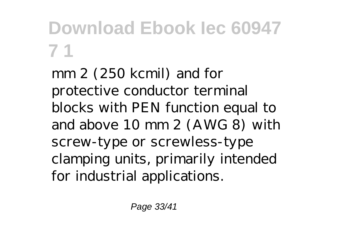mm 2 (250 kcmil) and for protective conductor terminal blocks with PEN function equal to and above 10 mm 2 (AWG 8) with screw-type or screwless-type clamping units, primarily intended for industrial applications.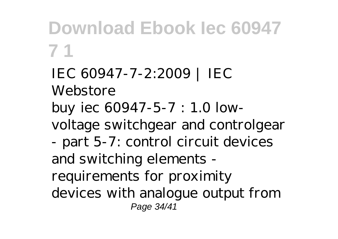*IEC 60947-7-2:2009 | IEC Webstore* buy iec 60947-5-7 : 1.0 lowvoltage switchgear and controlgear - part 5-7: control circuit devices and switching elements requirements for proximity devices with analogue output from Page 34/41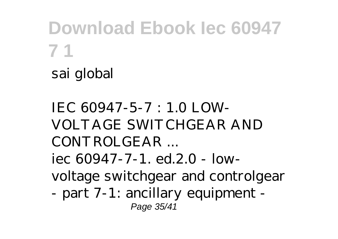sai global

*IEC 60947-5-7 : 1.0 LOW-VOLTAGE SWITCHGEAR AND CONTROLGEAR ...* iec 60947-7-1. ed.2.0 - lowvoltage switchgear and controlgear - part 7-1: ancillary equipment - Page 35/41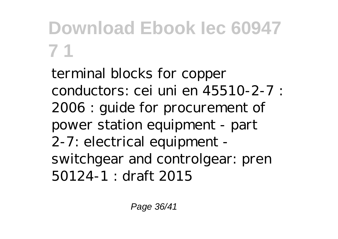terminal blocks for copper conductors: cei uni en 45510-2-7 : 2006 : guide for procurement of power station equipment - part 2-7: electrical equipment switchgear and controlgear: pren 50124-1 : draft 2015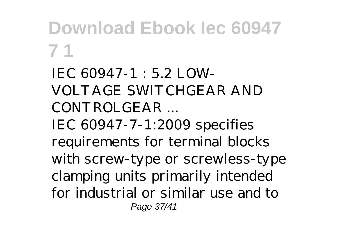*IEC 60947-1 : 5.2 LOW-VOLTAGE SWITCHGEAR AND CONTROLGEAR ...* IEC 60947-7-1:2009 specifies requirements for terminal blocks with screw-type or screwless-type clamping units primarily intended for industrial or similar use and to Page 37/41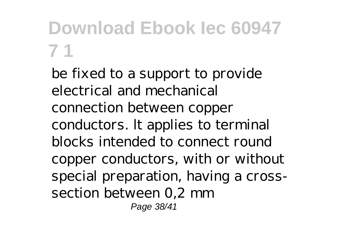be fixed to a support to provide electrical and mechanical connection between copper conductors. lt applies to terminal blocks intended to connect round copper conductors, with or without special preparation, having a crosssection between 0,2 mm Page 38/41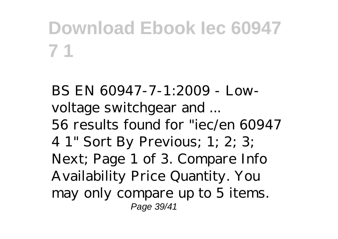*BS EN 60947-7-1:2009 - Lowvoltage switchgear and ...* 56 results found for "iec/en 60947 4 1" Sort By Previous; 1; 2; 3; Next; Page 1 of 3. Compare Info Availability Price Quantity. You may only compare up to 5 items. Page 39/41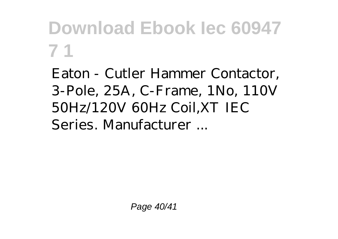Eaton - Cutler Hammer Contactor, 3-Pole, 25A, C-Frame, 1No, 110V 50Hz/120V 60Hz Coil,XT IEC Series. Manufacturer ...